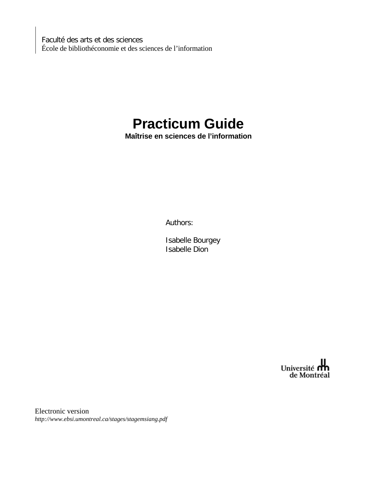Faculté des arts et des sciences École de bibliothéconomie et des sciences de l'information

# **Practicum Guide**

**Maîtrise en sciences de l'information** 

Authors:

Isabelle Bourgey Isabelle Dion

Université **n'h**<br>de Montréal

Electronic version *http://www.ebsi.umontreal.ca/stages/stagemsiang.pdf*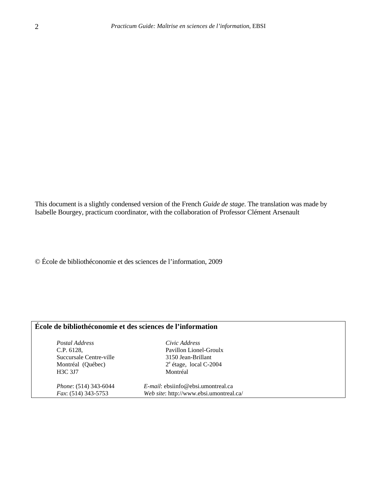This document is a slightly condensed version of the French *Guide de stage*. The translation was made by Isabelle Bourgey, practicum coordinator, with the collaboration of Professor Clément Arsenault

© École de bibliothéconomie et des sciences de l'information, 2009

### **École de bibliothéconomie et des sciences de l'information**

*Postal Address Civic Address* C.P. 6128, Pavillon Lionel-Groulx Succursale Centre-ville 3150 Jean-Brillant Montréal (Québec) H3C 3J7 Montréal

étage, local C-2004

*Phone*: (514) 343-6044 *E-mail*: ebsiinfo@ebsi.umontreal.ca *Fax*: (514) 343-5753 *Web site*: http://www.ebsi.umontreal.ca/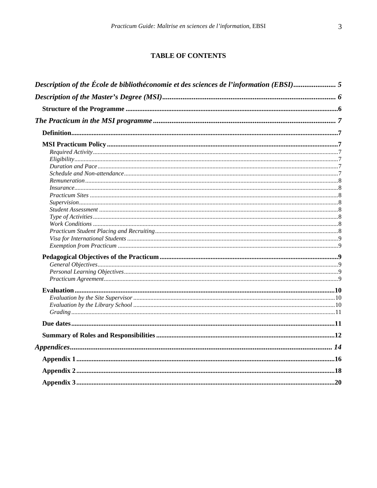# **TABLE OF CONTENTS**

| Description of the École de bibliothéconomie et des sciences de l'information (EBSI) 5 |  |
|----------------------------------------------------------------------------------------|--|
|                                                                                        |  |
|                                                                                        |  |
|                                                                                        |  |
|                                                                                        |  |
|                                                                                        |  |
|                                                                                        |  |
|                                                                                        |  |
|                                                                                        |  |
|                                                                                        |  |
|                                                                                        |  |
|                                                                                        |  |
|                                                                                        |  |
|                                                                                        |  |
|                                                                                        |  |
|                                                                                        |  |
|                                                                                        |  |
|                                                                                        |  |
|                                                                                        |  |
|                                                                                        |  |
|                                                                                        |  |
|                                                                                        |  |
|                                                                                        |  |
|                                                                                        |  |
|                                                                                        |  |
|                                                                                        |  |
|                                                                                        |  |
|                                                                                        |  |
|                                                                                        |  |
|                                                                                        |  |
|                                                                                        |  |
|                                                                                        |  |
|                                                                                        |  |
|                                                                                        |  |
|                                                                                        |  |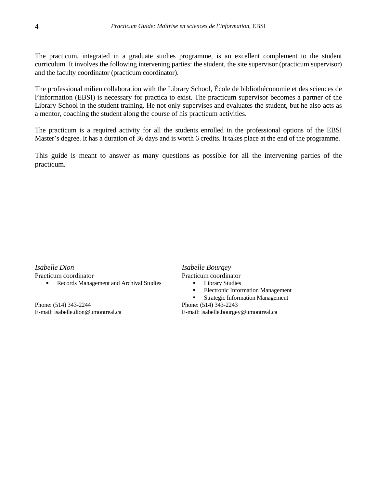The practicum, integrated in a graduate studies programme, is an excellent complement to the student curriculum. It involves the following intervening parties: the student, the site supervisor (practicum supervisor) and the faculty coordinator (practicum coordinator).

The professional milieu collaboration with the Library School, École de bibliothéconomie et des sciences de l'information (EBSI) is necessary for practica to exist. The practicum supervisor becomes a partner of the Library School in the student training. He not only supervises and evaluates the student, but he also acts as a mentor, coaching the student along the course of his practicum activities.

The practicum is a required activity for all the students enrolled in the professional options of the EBSI Master's degree. It has a duration of 36 days and is worth 6 credits. It takes place at the end of the programme.

This guide is meant to answer as many questions as possible for all the intervening parties of the practicum.

*Isabelle Dion Isabelle Bourgey* Practicum coordinator **Practicum** coordinator

Records Management and Archival Studies **Library Studies** 

Phone: (514) 343-2244 E-mail: isabelle.dion@umontreal.ca

- -
	- **Electronic Information Management**

**Strategic Information Management** 

Phone: (514) 343-2243 E-mail: isabelle.bourgey@umontreal.ca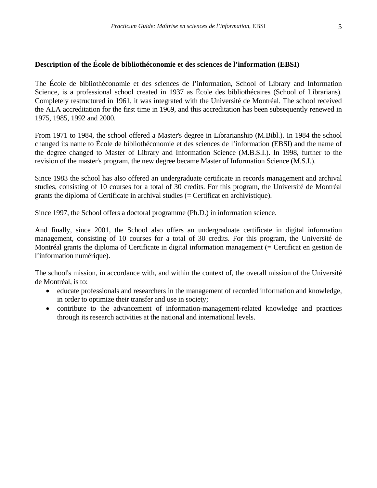### <span id="page-4-0"></span>**Description of the École de bibliothéconomie et des sciences de l'information (EBSI)**

The École de bibliothéconomie et des sciences de l'information, School of Library and Information Science, is a professional school created in 1937 as École des bibliothécaires (School of Librarians). Completely restructured in 1961, it was integrated with the Université de Montréal. The school received the ALA accreditation for the first time in 1969, and this accreditation has been subsequently renewed in 1975, 1985, 1992 and 2000.

From 1971 to 1984, the school offered a Master's degree in Librarianship (M.Bibl.). In 1984 the school changed its name to École de bibliothéconomie et des sciences de l'information (EBSI) and the name of the degree changed to Master of Library and Information Science (M.B.S.I.). In 1998, further to the revision of the master's program, the new degree became Master of Information Science (M.S.I.).

Since 1983 the school has also offered an undergraduate certificate in records management and archival studies, consisting of 10 courses for a total of 30 credits. For this program, the Université de Montréal grants the diploma of Certificate in archival studies (= Certificat en archivistique).

Since 1997, the School offers a doctoral programme (Ph.D.) in information science.

And finally, since 2001, the School also offers an undergraduate certificate in digital information management, consisting of 10 courses for a total of 30 credits. For this program, the Université de Montréal grants the diploma of Certificate in digital information management (= Certificat en gestion de l'information numérique).

The school's mission, in accordance with, and within the context of, the overall mission of the Université de Montréal, is to:

- educate professionals and researchers in the management of recorded information and knowledge, in order to optimize their transfer and use in society;
- contribute to the advancement of information-management-related knowledge and practices through its research activities at the national and international levels.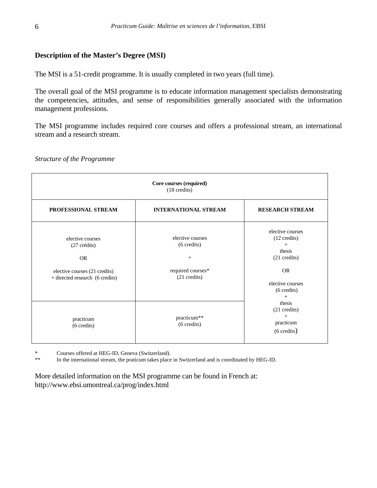# <span id="page-5-0"></span>**Description of the Master's Degree (MSI)**

The MSI is a 51-credit programme. It is usually completed in two years (full time).

The overall goal of the MSI programme is to educate information management specialists demonstrating the competencies, attitudes, and sense of responsibilities generally associated with the information management professions.

The MSI programme includes required core courses and offers a professional stream, an international stream and a research stream.

| Core courses (required)<br>$(18 \text{ credits})$                                                                          |                                                                                                   |                                                                                                                                                 |  |  |  |
|----------------------------------------------------------------------------------------------------------------------------|---------------------------------------------------------------------------------------------------|-------------------------------------------------------------------------------------------------------------------------------------------------|--|--|--|
| PROFESSIONAL STREAM                                                                                                        | <b>INTERNATIONAL STREAM</b>                                                                       | <b>RESEARCH STREAM</b>                                                                                                                          |  |  |  |
| elective courses<br>$(27 \text{ credit})$<br><b>OR</b><br>elective courses (21 credits)<br>+ directed research (6 credits) | elective courses<br>$(6 \text{ credits})$<br>$\! + \!\!\!\!$<br>required courses*<br>(21 credits) | elective courses<br>$(12 \text{ credits})$<br>$^{+}$<br>thesis<br>(21 credits)<br><b>OR</b><br>elective courses<br>$(6 \text{ credits})$<br>$+$ |  |  |  |
| practicum<br>$(6 \text{ credits})$                                                                                         | practicum**<br>(6 credits)                                                                        | thesis<br>$(21 \text{ credits})$<br>$^{+}$<br>practicum<br>$(6 \text{ credits})$                                                                |  |  |  |

*Structure of the Programme* 

\* Courses offered at HEG-ID, Geneva (Switzerland).

\*\* In the international stream, the praticum takes place in Switzerland and is coordinated by HEG-ID.

More detailed information on the MSI programme can be found in French at: http://www.ebsi.umontreal.ca/prog/index.html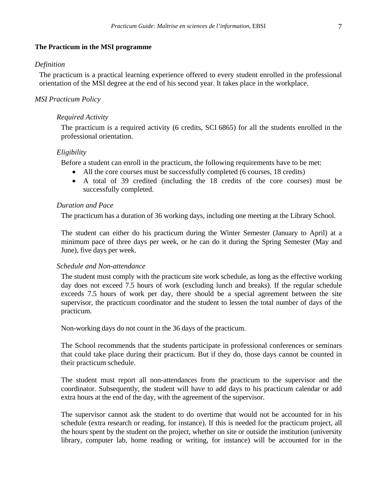#### <span id="page-6-0"></span>**The Practicum in the MSI programme**

#### *Definition*

The practicum is a practical learning experience offered to every student enrolled in the professional orientation of the MSI degree at the end of his second year. It takes place in the workplace.

#### *MSI Practicum Policy*

#### *Required Activity*

The practicum is a required activity (6 credits, SCI 6865) for all the students enrolled in the professional orientation.

#### *Eligibility*

Before a student can enroll in the practicum, the following requirements have to be met:

- All the core courses must be successfully completed (6 courses, 18 credits)
- A total of 39 credited (including the 18 credits of the core courses) must be successfully completed.

#### *Duration and Pace*

The practicum has a duration of 36 working days, including one meeting at the Library School.

The student can either do his practicum during the Winter Semester (January to April) at a minimum pace of three days per week, or he can do it during the Spring Semester (May and June), five days per week.

#### *Schedule and Non-attendance*

The student must comply with the practicum site work schedule, as long as the effective working day does not exceed 7.5 hours of work (excluding lunch and breaks). If the regular schedule exceeds 7.5 hours of work per day, there should be a special agreement between the site supervisor, the practicum coordinator and the student to lessen the total number of days of the practicum.

Non-working days do not count in the 36 days of the practicum.

The School recommends that the students participate in professional conferences or seminars that could take place during their practicum. But if they do, those days cannot be counted in their practicum schedule.

The student must report all non-attendances from the practicum to the supervisor and the coordinator. Subsequently, the student will have to add days to his practicum calendar or add extra hours at the end of the day, with the agreement of the supervisor.

The supervisor cannot ask the student to do overtime that would not be accounted for in his schedule (extra research or reading, for instance). If this is needed for the practicum project, all the hours spent by the student on the project, whether on site or outside the institution (university library, computer lab, home reading or writing, for instance) will be accounted for in the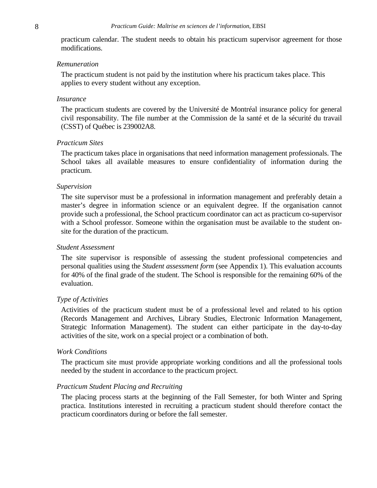<span id="page-7-0"></span>practicum calendar. The student needs to obtain his practicum supervisor agreement for those modifications.

#### *Remuneration*

The practicum student is not paid by the institution where his practicum takes place. This applies to every student without any exception.

#### *Insurance*

The practicum students are covered by the Université de Montréal insurance policy for general civil responsability. The file number at the Commission de la santé et de la sécurité du travail (CSST) of Québec is 239002A8.

#### *Practicum Sites*

The practicum takes place in organisations that need information management professionals. The School takes all available measures to ensure confidentiality of information during the practicum.

#### *Supervision*

The site supervisor must be a professional in information management and preferably detain a master's degree in information science or an equivalent degree. If the organisation cannot provide such a professional, the School practicum coordinator can act as practicum co-supervisor with a School professor. Someone within the organisation must be available to the student onsite for the duration of the practicum.

#### *Student Assessment*

The site supervisor is responsible of assessing the student professional competencies and personal qualities using the *Student assessment form* (see Appendix 1). This evaluation accounts for 40% of the final grade of the student. The School is responsible for the remaining 60% of the evaluation.

#### *Type of Activities*

Activities of the practicum student must be of a professional level and related to his option (Records Management and Archives, Library Studies, Electronic Information Management, Strategic Information Management). The student can either participate in the day-to-day activities of the site, work on a special project or a combination of both.

#### *Work Conditions*

The practicum site must provide appropriate working conditions and all the professional tools needed by the student in accordance to the practicum project.

#### *Practicum Student Placing and Recruiting*

The placing process starts at the beginning of the Fall Semester, for both Winter and Spring practica. Institutions interested in recruiting a practicum student should therefore contact the practicum coordinators during or before the fall semester.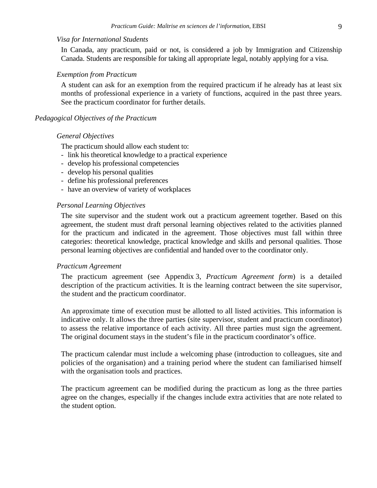#### <span id="page-8-0"></span>*Visa for International Students*

In Canada, any practicum, paid or not, is considered a job by Immigration and Citizenship Canada. Students are responsible for taking all appropriate legal, notably applying for a visa.

#### *Exemption from Practicum*

A student can ask for an exemption from the required practicum if he already has at least six months of professional experience in a variety of functions, acquired in the past three years. See the practicum coordinator for further details.

#### *Pedagogical Objectives of the Practicum*

#### *General Objectives*

The practicum should allow each student to:

- link his theoretical knowledge to a practical experience
- develop his professional competencies
- develop his personal qualities
- define his professional preferences
- have an overview of variety of workplaces

#### *Personal Learning Objectives*

The site supervisor and the student work out a practicum agreement together. Based on this agreement, the student must draft personal learning objectives related to the activities planned for the practicum and indicated in the agreement. Those objectives must fall within three categories: theoretical knowledge, practical knowledge and skills and personal qualities. Those personal learning objectives are confidential and handed over to the coordinator only.

#### *Practicum Agreement*

The practicum agreement (see Appendix 3, *Practicum Agreement form*) is a detailed description of the practicum activities. It is the learning contract between the site supervisor, the student and the practicum coordinator.

An approximate time of execution must be allotted to all listed activities. This information is indicative only. It allows the three parties (site supervisor, student and practicum coordinator) to assess the relative importance of each activity. All three parties must sign the agreement. The original document stays in the student's file in the practicum coordinator's office.

The practicum calendar must include a welcoming phase (introduction to colleagues, site and policies of the organisation) and a training period where the student can familiarised himself with the organisation tools and practices.

The practicum agreement can be modified during the practicum as long as the three parties agree on the changes, especially if the changes include extra activities that are note related to the student option.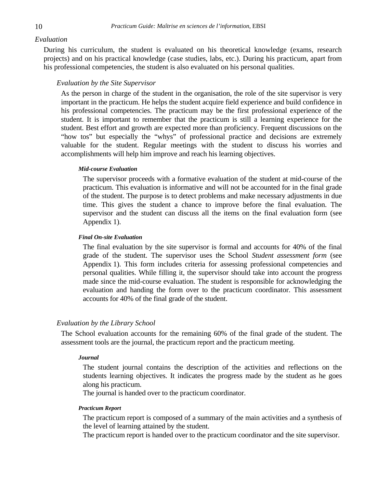#### <span id="page-9-0"></span>*Evaluation*

During his curriculum, the student is evaluated on his theoretical knowledge (exams, research projects) and on his practical knowledge (case studies, labs, etc.). During his practicum, apart from his professional competencies, the student is also evaluated on his personal qualities.

#### *Evaluation by the Site Supervisor*

As the person in charge of the student in the organisation, the role of the site supervisor is very important in the practicum. He helps the student acquire field experience and build confidence in his professional competencies. The practicum may be the first professional experience of the student. It is important to remember that the practicum is still a learning experience for the student. Best effort and growth are expected more than proficiency. Frequent discussions on the "how tos" but especially the "whys" of professional practice and decisions are extremely valuable for the student. Regular meetings with the student to discuss his worries and accomplishments will help him improve and reach his learning objectives.

#### *Mid-course Evaluation*

The supervisor proceeds with a formative evaluation of the student at mid-course of the practicum. This evaluation is informative and will not be accounted for in the final grade of the student. The purpose is to detect problems and make necessary adjustments in due time. This gives the student a chance to improve before the final evaluation. The supervisor and the student can discuss all the items on the final evaluation form (see Appendix 1).

#### *Final On-site Evaluation*

The final evaluation by the site supervisor is formal and accounts for 40% of the final grade of the student. The supervisor uses the School *Student assessment form* (see Appendix 1). This form includes criteria for assessing professional competencies and personal qualities. While filling it, the supervisor should take into account the progress made since the mid-course evaluation. The student is responsible for acknowledging the evaluation and handing the form over to the practicum coordinator. This assessment accounts for 40% of the final grade of the student.

#### *Evaluation by the Library School*

The School evaluation accounts for the remaining 60% of the final grade of the student. The assessment tools are the journal, the practicum report and the practicum meeting.

#### *Journal*

The student journal contains the description of the activities and reflections on the students learning objectives. It indicates the progress made by the student as he goes along his practicum.

The journal is handed over to the practicum coordinator.

#### *Practicum Report*

The practicum report is composed of a summary of the main activities and a synthesis of the level of learning attained by the student.

The practicum report is handed over to the practicum coordinator and the site supervisor.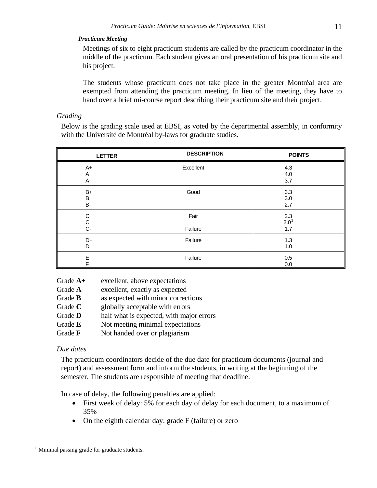#### <span id="page-10-0"></span>*Practicum Meeting*

Meetings of six to eight practicum students are called by the practicum coordinator in the middle of the practicum. Each student gives an oral presentation of his practicum site and his project.

The students whose practicum does not take place in the greater Montréal area are exempted from attending the practicum meeting. In lieu of the meeting, they have to hand over a brief mi-course report describing their practicum site and their project.

#### *Grading*

Below is the grading scale used at EBSI, as voted by the departmental assembly, in conformity with the Université de Montréal by-laws for graduate studies.

| <b>LETTER</b>        | <b>DESCRIPTION</b> | <b>POINTS</b>                         |
|----------------------|--------------------|---------------------------------------|
| $A+$<br>Α<br>A-      | Excellent          | 4.3<br>4.0<br>3.7                     |
| B+<br>B<br><b>B-</b> | Good               | 3.3<br>3.0<br>2.7                     |
| C+<br>C<br>C-        | Fair<br>Failure    | $\frac{2.3}{2.0}$ <sup>1</sup><br>1.7 |
| D+<br>D              | Failure            | 1.3<br>1.0                            |
| E<br>F               | Failure            | 0.5<br>0.0                            |

Grade **A+** excellent, above expectations

- Grade A excellent, exactly as expected
- Grade **B** as expected with minor corrections
- Grade **C** globally acceptable with errors
- Grade **D** half what is expected, with major errors
- Grade **E** Not meeting minimal expectations
- Grade **F** Not handed over or plagiarism

### *Due dates*

 $\overline{a}$ 

The practicum coordinators decide of the due date for practicum documents (journal and report) and assessment form and inform the students, in writing at the beginning of the semester. The students are responsible of meeting that deadline.

In case of delay, the following penalties are applied:

- First week of delay: 5% for each day of delay for each document, to a maximum of 35%
- On the eighth calendar day: grade F (failure) or zero

<span id="page-10-1"></span><sup>&</sup>lt;sup>1</sup> Minimal passing grade for graduate students.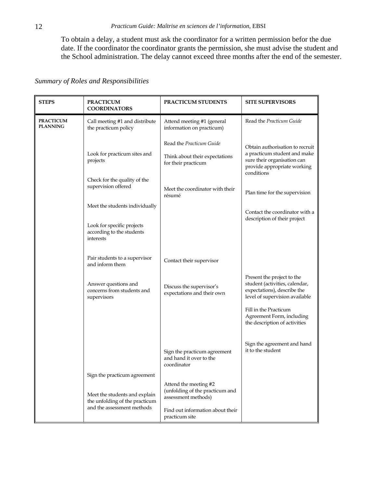<span id="page-11-0"></span>To obtain a delay, a student must ask the coordinator for a written permission befor the due date. If the coordinator the coordinator grants the permission, she must advise the student and the School administration. The delay cannot exceed three months after the end of the semester.

|  |  |  | Summary of Roles and Responsibilities |
|--|--|--|---------------------------------------|
|--|--|--|---------------------------------------|

| <b>STEPS</b>                        | <b>PRACTICUM</b><br><b>COORDINATORS</b>                              | PRACTICUM STUDENTS                                                              | <b>SITE SUPERVISORS</b>                                                                                                       |
|-------------------------------------|----------------------------------------------------------------------|---------------------------------------------------------------------------------|-------------------------------------------------------------------------------------------------------------------------------|
| <b>PRACTICUM</b><br><b>PLANNING</b> | Call meeting #1 and distribute<br>the practicum policy               | Attend meeting #1 (general<br>information on practicum)                         | Read the Practicum Guide                                                                                                      |
|                                     |                                                                      | Read the Practicum Guide                                                        | Obtain authorisation to recruit                                                                                               |
|                                     | Look for practicum sites and<br>projects                             | Think about their expectations<br>for their practicum                           | a practicum student and make<br>sure their organisation can<br>provide appropriate working<br>conditions                      |
|                                     | Check for the quality of the<br>supervision offered                  | Meet the coordinator with their<br>résumé                                       | Plan time for the supervision                                                                                                 |
|                                     | Meet the students individually                                       |                                                                                 | Contact the coordinator with a                                                                                                |
|                                     | Look for specific projects<br>according to the students<br>interests |                                                                                 | description of their project                                                                                                  |
|                                     | Pair students to a supervisor<br>and inform them                     | Contact their supervisor                                                        |                                                                                                                               |
|                                     | Answer questions and<br>concerns from students and<br>supervisors    | Discuss the supervisor's<br>expectations and their own                          | Present the project to the<br>student (activities, calendar,<br>expectations), describe the<br>level of supervision available |
|                                     |                                                                      |                                                                                 | Fill in the Practicum<br>Agreement Form, including<br>the description of activities                                           |
|                                     |                                                                      | Sign the practicum agreement<br>and hand it over to the<br>coordinator          | Sign the agreement and hand<br>it to the student                                                                              |
|                                     | Sign the practicum agreement                                         |                                                                                 |                                                                                                                               |
|                                     | Meet the students and explain<br>the unfolding of the practicum      | Attend the meeting #2<br>(unfolding of the practicum and<br>assessment methods) |                                                                                                                               |
|                                     | and the assessment methods                                           | Find out information about their<br>practicum site                              |                                                                                                                               |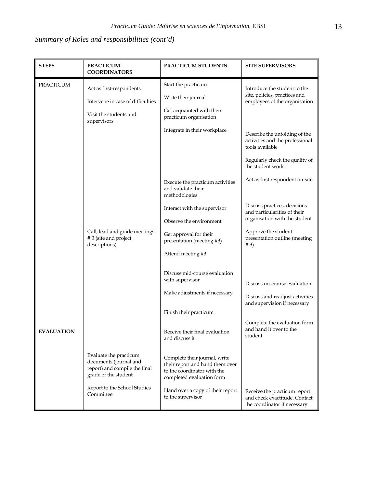# *Summary of Roles and responsibilities (cont'd)*

| <b>STEPS</b>      | <b>PRACTICUM</b><br><b>COORDINATORS</b>                                                                   | PRACTICUM STUDENTS                                                                                                           | <b>SITE SUPERVISORS</b>                                                                                               |
|-------------------|-----------------------------------------------------------------------------------------------------------|------------------------------------------------------------------------------------------------------------------------------|-----------------------------------------------------------------------------------------------------------------------|
| <b>PRACTICUM</b>  | Act as first-respondents<br>Intervene in case of difficulties<br>Visit the students and<br>supervisors    | Start the practicum<br>Write their journal<br>Get acquainted with their<br>practicum organisation                            | Introduce the student to the<br>site, policies, practices and<br>employees of the organisation                        |
|                   |                                                                                                           | Integrate in their workplace                                                                                                 | Describe the unfolding of the<br>activities and the professional<br>tools available<br>Regularly check the quality of |
|                   |                                                                                                           | Execute the practicum activities<br>and validate their<br>methodologies                                                      | the student work<br>Act as first respondent on-site                                                                   |
|                   |                                                                                                           | Interact with the supervisor<br>Observe the environment                                                                      | Discuss practices, decisions<br>and particularities of their<br>organisation with the student                         |
|                   | Call, lead and grade meetings<br>#3 (site and project<br>descriptions)                                    | Get approval for their<br>presentation (meeting #3)                                                                          | Approve the student<br>presentation outline (meeting<br># 3)                                                          |
|                   |                                                                                                           | Attend meeting #3<br>Discuss mid-course evaluation                                                                           |                                                                                                                       |
|                   |                                                                                                           | with supervisor<br>Make adjustments if necessary                                                                             | Discuss mi-course evaluation<br>Discuss and readjust activities<br>and supervision if necessary                       |
|                   |                                                                                                           | Finish their practicum                                                                                                       |                                                                                                                       |
| <b>EVALUATION</b> |                                                                                                           | Receive their final evaluation<br>and discuss it                                                                             | Complete the evaluation form<br>and hand it over to the<br>student                                                    |
|                   | Evaluate the practicum<br>documents (journal and<br>report) and compile the final<br>grade of the student | Complete their journal, write<br>their report and hand them over<br>to the coordinator with the<br>completed evaluation form |                                                                                                                       |
|                   | Report to the School Studies<br>Committee                                                                 | Hand over a copy of their report<br>to the supervisor                                                                        | Receive the practicum report<br>and check exactitude. Contact<br>the coordinator if necessary                         |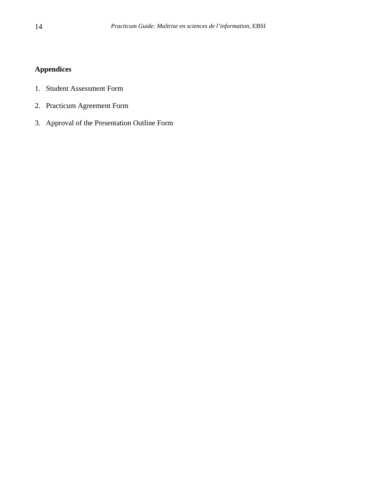# <span id="page-13-0"></span>**Appendices**

- 1. Student Assessment Form
- 2. Practicum Agreement Form
- 3. Approval of the Presentation Outline Form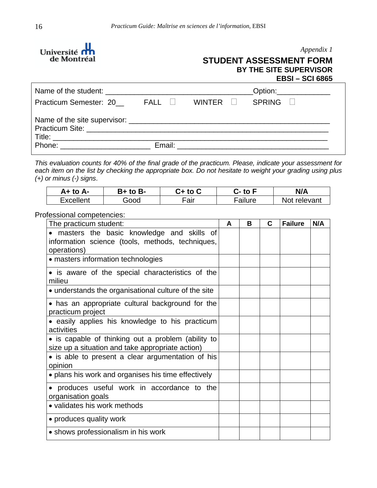<span id="page-15-0"></span>

#### *Appendix 1*

# **STUDENT ASSESSMENT FORM BY THE SITE SUPERVISOR EBSI – SCI 6865**

|                                                                                                                                                                                                                                |        | _Option:_______________ |
|--------------------------------------------------------------------------------------------------------------------------------------------------------------------------------------------------------------------------------|--------|-------------------------|
| Practicum Semester: 20 FALL □                                                                                                                                                                                                  | WINTER | $SPRING \quad \Box$     |
|                                                                                                                                                                                                                                |        |                         |
|                                                                                                                                                                                                                                |        |                         |
| Phone: the contract of the contract of the contract of the contract of the contract of the contract of the contract of the contract of the contract of the contract of the contract of the contract of the contract of the con |        |                         |

*This evaluation counts for 40% of the final grade of the practicum. Please, indicate your assessment for each item on the list by checking the appropriate box. Do not hesitate to weight your grading using plus (+) or minus (-) signs*.

| A+ to A-         | B+ to B- | C+ to C | to F -  | N/A          |
|------------------|----------|---------|---------|--------------|
| <b>Excellent</b> | Good     | Fair    | Failure | Not relevant |

Professional competencies:

| The practicum student:                                                                                       | A | В | С | <b>Failure</b> | N/A |
|--------------------------------------------------------------------------------------------------------------|---|---|---|----------------|-----|
| masters the basic knowledge and skills of<br>information science (tools, methods, techniques,<br>operations) |   |   |   |                |     |
| • masters information technologies                                                                           |   |   |   |                |     |
| • is aware of the special characteristics of the<br>milieu                                                   |   |   |   |                |     |
| • understands the organisational culture of the site                                                         |   |   |   |                |     |
| • has an appropriate cultural background for the<br>practicum project                                        |   |   |   |                |     |
| • easily applies his knowledge to his practicum<br>activities                                                |   |   |   |                |     |
| • is capable of thinking out a problem (ability to<br>size up a situation and take appropriate action)       |   |   |   |                |     |
| • is able to present a clear argumentation of his<br>opinion                                                 |   |   |   |                |     |
| • plans his work and organises his time effectively                                                          |   |   |   |                |     |
| • produces useful work in accordance to the<br>organisation goals                                            |   |   |   |                |     |
| • validates his work methods                                                                                 |   |   |   |                |     |
| • produces quality work                                                                                      |   |   |   |                |     |
| • shows professionalism in his work                                                                          |   |   |   |                |     |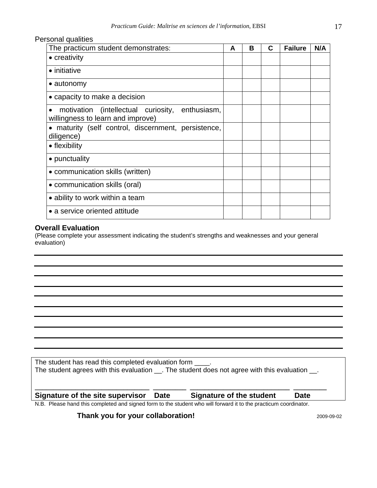Personal qualities

| The practicum student demonstrates:                                                  | A | B | C | <b>Failure</b> | N/A |
|--------------------------------------------------------------------------------------|---|---|---|----------------|-----|
| • creativity                                                                         |   |   |   |                |     |
| $\bullet$ initiative                                                                 |   |   |   |                |     |
| $\bullet$ autonomy                                                                   |   |   |   |                |     |
| • capacity to make a decision                                                        |   |   |   |                |     |
| motivation (intellectual curiosity, enthusiasm,<br>willingness to learn and improve) |   |   |   |                |     |
| • maturity (self control, discernment, persistence,<br>diligence)                    |   |   |   |                |     |
| • flexibility                                                                        |   |   |   |                |     |
| • punctuality                                                                        |   |   |   |                |     |
| • communication skills (written)                                                     |   |   |   |                |     |
| • communication skills (oral)                                                        |   |   |   |                |     |
| • ability to work within a team                                                      |   |   |   |                |     |
| • a service oriented attitude                                                        |   |   |   |                |     |

# **Overall Evaluation**

(Please complete your assessment indicating the student's strengths and weaknesses and your general evaluation)

The student has read this completed evaluation form \_\_\_\_. The student agrees with this evaluation \_\_. The student does not agree with this evaluation \_\_. **\_\_\_\_\_\_\_\_\_\_\_\_\_\_\_\_\_\_\_\_\_\_\_\_\_\_\_\_\_\_\_ \_\_\_\_\_\_\_\_\_ \_\_\_\_\_\_\_\_\_\_\_\_\_\_\_\_\_\_\_\_\_\_\_\_\_\_\_ \_\_\_\_\_\_\_\_\_ Signature of the site supervisor Date Signature of the student Date**  N.B. Please hand this completed and signed form to the student who will forward it to the practicum coordinator.

**Thank you for your collaboration! 1999-09-02 2009-09-02** 2009-09-02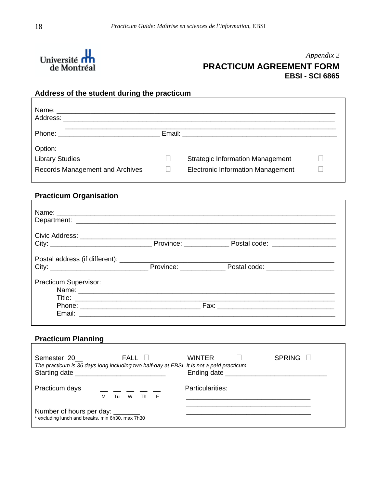<span id="page-17-0"></span>

# *Appendix 2* **PRACTICUM AGREEMENT FORM EBSI - SCI 6865**

٦

# **Address of the student during the practicum**

| Address: _______                |                                                 |  |
|---------------------------------|-------------------------------------------------|--|
|                                 | Email: <u>_________________________________</u> |  |
| Option:                         |                                                 |  |
| <b>Library Studies</b>          | <b>Strategic Information Management</b>         |  |
| Records Management and Archives | <b>Electronic Information Management</b>        |  |

# **Practicum Organisation**

|                       | Province: _____________________ Postal code: ___________________________________ |  |
|-----------------------|----------------------------------------------------------------------------------|--|
| Practicum Supervisor: |                                                                                  |  |
|                       |                                                                                  |  |

# **Practicum Planning**

| Semester 20                                                                           | FALL II<br>The practicum is 36 days long including two half-day at EBSI. It is not a paid practicum.<br>Starting date | <b>WINTER</b>    | <b>SPRING</b> |
|---------------------------------------------------------------------------------------|-----------------------------------------------------------------------------------------------------------------------|------------------|---------------|
| Practicum days                                                                        | __ __ __ __ _<br>Tu<br>W<br>м<br>Th<br>F                                                                              | Particularities: |               |
| Number of hours per day: ________<br>* excluding lunch and breaks, min 6h30, max 7h30 |                                                                                                                       |                  |               |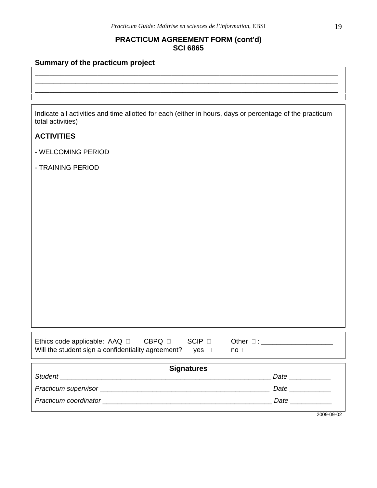# **PRACTICUM AGREEMENT FORM (cont'd) SCI 6865**

\_\_\_\_\_\_\_\_\_\_\_\_\_\_\_\_\_\_\_\_\_\_\_\_\_\_\_\_\_\_\_\_\_\_\_\_\_\_\_\_\_\_\_\_\_\_\_\_\_\_\_\_\_\_\_\_\_\_\_\_\_\_\_\_\_\_\_\_\_\_\_\_\_\_\_\_\_\_\_\_\_\_ \_\_\_\_\_\_\_\_\_\_\_\_\_\_\_\_\_\_\_\_\_\_\_\_\_\_\_\_\_\_\_\_\_\_\_\_\_\_\_\_\_\_\_\_\_\_\_\_\_\_\_\_\_\_\_\_\_\_\_\_\_\_\_\_\_\_\_\_\_\_\_\_\_\_\_\_\_\_\_\_\_\_ \_\_\_\_\_\_\_\_\_\_\_\_\_\_\_\_\_\_\_\_\_\_\_\_\_\_\_\_\_\_\_\_\_\_\_\_\_\_\_\_\_\_\_\_\_\_\_\_\_\_\_\_\_\_\_\_\_\_\_\_\_\_\_\_\_\_\_\_\_\_\_\_\_\_\_\_\_\_\_\_\_\_

# **Summary of the practicum project**

Indicate all activities and time allotted for each (either in hours, days or percentage of the practicum total activities)

# **ACTIVITIES**

Г

- WELCOMING PERIOD
- TRAINING PERIOD

| Ethics code applicable: $A A Q \square$            | <b>CBPQ</b> F | SCIP .       | Other $\square$ : |
|----------------------------------------------------|---------------|--------------|-------------------|
| Will the student sign a confidentiality agreement? |               | $ves$ $\Box$ | no                |

| <b>Signatures</b>     |                                                                                         |  |
|-----------------------|-----------------------------------------------------------------------------------------|--|
| Student               | Date                                                                                    |  |
|                       | Date                                                                                    |  |
| Practicum coordinator | Date<br>the contract of the contract of the contract of the contract of the contract of |  |
|                       | 2009-09-02                                                                              |  |